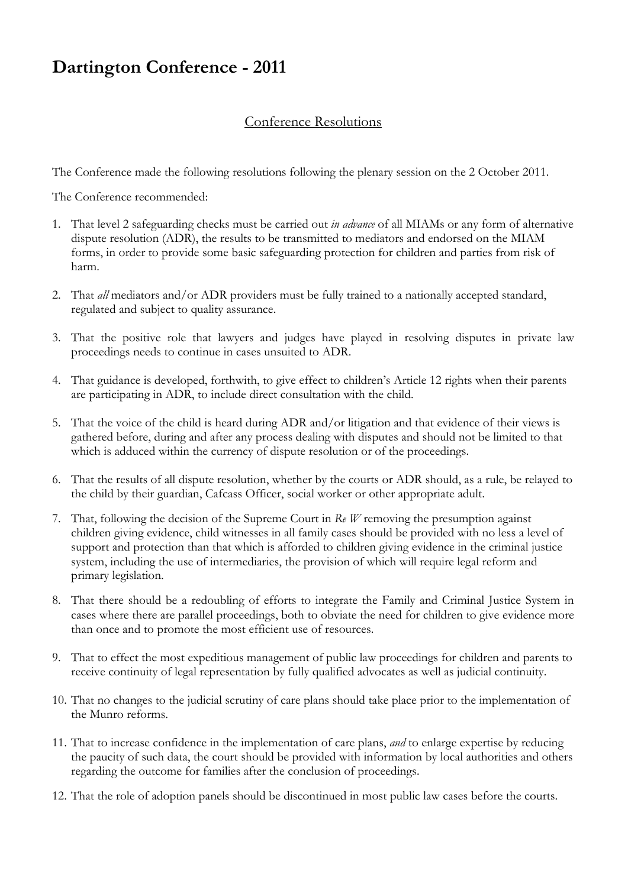## **Dartington Conference - 2011**

## Conference Resolutions

The Conference made the following resolutions following the plenary session on the 2 October 2011.

The Conference recommended:

- 1. That level 2 safeguarding checks must be carried out *in advance* of all MIAMs or any form of alternative dispute resolution (ADR), the results to be transmitted to mediators and endorsed on the MIAM forms, in order to provide some basic safeguarding protection for children and parties from risk of harm.
- 2. That *all* mediators and/or ADR providers must be fully trained to a nationally accepted standard, regulated and subject to quality assurance.
- 3. That the positive role that lawyers and judges have played in resolving disputes in private law proceedings needs to continue in cases unsuited to ADR.
- 4. That guidance is developed, forthwith, to give effect to children's Article 12 rights when their parents are participating in ADR, to include direct consultation with the child.
- 5. That the voice of the child is heard during ADR and/or litigation and that evidence of their views is gathered before, during and after any process dealing with disputes and should not be limited to that which is adduced within the currency of dispute resolution or of the proceedings.
- 6. That the results of all dispute resolution, whether by the courts or ADR should, as a rule, be relayed to the child by their guardian, Cafcass Officer, social worker or other appropriate adult.
- 7. That, following the decision of the Supreme Court in *Re W* removing the presumption against children giving evidence, child witnesses in all family cases should be provided with no less a level of support and protection than that which is afforded to children giving evidence in the criminal justice system, including the use of intermediaries, the provision of which will require legal reform and primary legislation.
- 8. That there should be a redoubling of efforts to integrate the Family and Criminal Justice System in cases where there are parallel proceedings, both to obviate the need for children to give evidence more than once and to promote the most efficient use of resources.
- 9. That to effect the most expeditious management of public law proceedings for children and parents to receive continuity of legal representation by fully qualified advocates as well as judicial continuity.
- 10. That no changes to the judicial scrutiny of care plans should take place prior to the implementation of the Munro reforms.
- 11. That to increase confidence in the implementation of care plans, *and* to enlarge expertise by reducing the paucity of such data, the court should be provided with information by local authorities and others regarding the outcome for families after the conclusion of proceedings.
- 12. That the role of adoption panels should be discontinued in most public law cases before the courts.